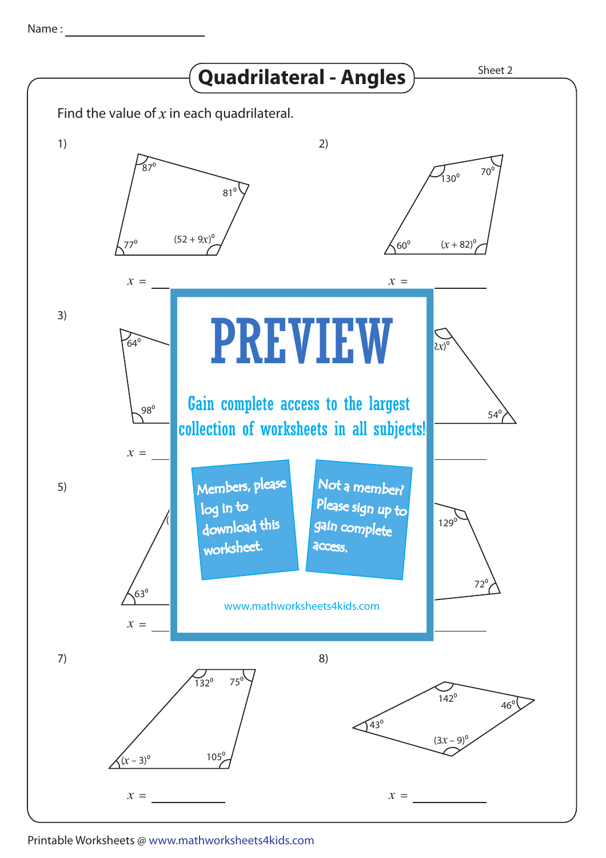